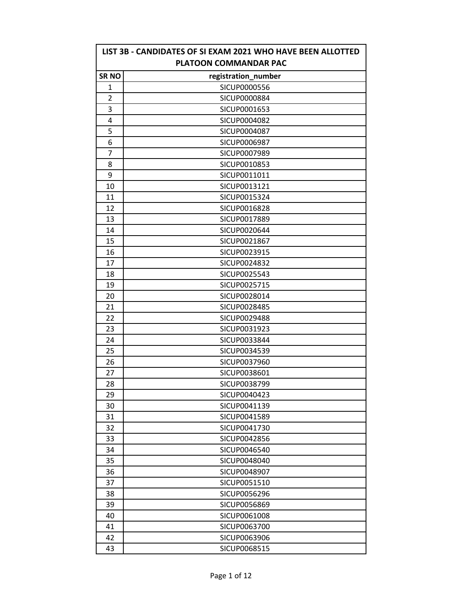| LIST 3B - CANDIDATES OF SI EXAM 2021 WHO HAVE BEEN ALLOTTED<br>PLATOON COMMANDAR PAC |                     |  |
|--------------------------------------------------------------------------------------|---------------------|--|
| <b>SR NO</b>                                                                         | registration_number |  |
| 1                                                                                    | SICUP0000556        |  |
| 2                                                                                    | SICUP0000884        |  |
| 3                                                                                    | SICUP0001653        |  |
| 4                                                                                    | SICUP0004082        |  |
| 5                                                                                    | SICUP0004087        |  |
| 6                                                                                    | SICUP0006987        |  |
| 7                                                                                    | SICUP0007989        |  |
| 8                                                                                    | SICUP0010853        |  |
| 9                                                                                    | SICUP0011011        |  |
| 10                                                                                   | SICUP0013121        |  |
| 11                                                                                   | SICUP0015324        |  |
| 12                                                                                   | SICUP0016828        |  |
| 13                                                                                   | SICUP0017889        |  |
| 14                                                                                   | SICUP0020644        |  |
| 15                                                                                   | SICUP0021867        |  |
| 16                                                                                   | SICUP0023915        |  |
| 17                                                                                   | SICUP0024832        |  |
| 18                                                                                   | SICUP0025543        |  |
| 19                                                                                   | SICUP0025715        |  |
| 20                                                                                   | SICUP0028014        |  |
| 21                                                                                   | SICUP0028485        |  |
| 22                                                                                   | SICUP0029488        |  |
| 23                                                                                   | SICUP0031923        |  |
| 24                                                                                   | SICUP0033844        |  |
| 25                                                                                   | SICUP0034539        |  |
| 26                                                                                   | SICUP0037960        |  |
| 27                                                                                   | SICUP0038601        |  |
| 28                                                                                   | SICUP0038799        |  |
| 29                                                                                   | SICUP0040423        |  |
| 30                                                                                   | SICUP0041139        |  |
| 31                                                                                   | SICUP0041589        |  |
| 32                                                                                   | SICUP0041730        |  |
| 33                                                                                   | SICUP0042856        |  |
| 34                                                                                   | SICUP0046540        |  |
| 35                                                                                   | SICUP0048040        |  |
| 36                                                                                   | SICUP0048907        |  |
| 37                                                                                   | SICUP0051510        |  |
| 38                                                                                   | SICUP0056296        |  |
| 39                                                                                   | SICUP0056869        |  |
| 40                                                                                   | SICUP0061008        |  |
| 41                                                                                   | SICUP0063700        |  |
| 42                                                                                   | SICUP0063906        |  |
| 43                                                                                   | SICUP0068515        |  |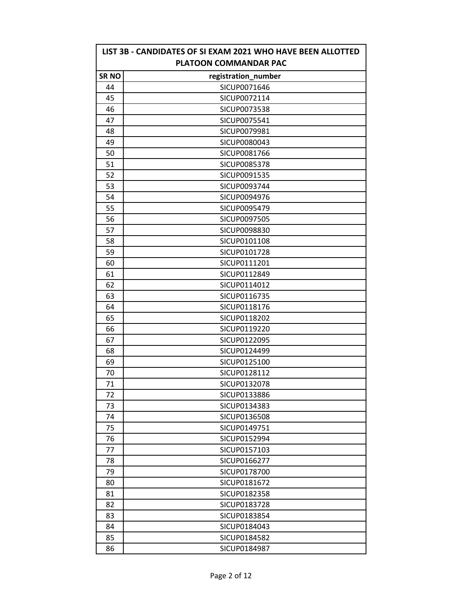| LIST 3B - CANDIDATES OF SI EXAM 2021 WHO HAVE BEEN ALLOTTED<br>PLATOON COMMANDAR PAC |                     |  |
|--------------------------------------------------------------------------------------|---------------------|--|
| <b>SRNO</b>                                                                          | registration_number |  |
| 44                                                                                   | SICUP0071646        |  |
| 45                                                                                   | SICUP0072114        |  |
| 46                                                                                   | SICUP0073538        |  |
| 47                                                                                   | SICUP0075541        |  |
| 48                                                                                   | SICUP0079981        |  |
| 49                                                                                   | SICUP0080043        |  |
| 50                                                                                   | SICUP0081766        |  |
| 51                                                                                   | <b>SICUP0085378</b> |  |
| 52                                                                                   | SICUP0091535        |  |
| 53                                                                                   | SICUP0093744        |  |
| 54                                                                                   | SICUP0094976        |  |
| 55                                                                                   | SICUP0095479        |  |
| 56                                                                                   | SICUP0097505        |  |
| 57                                                                                   | SICUP0098830        |  |
| 58                                                                                   | SICUP0101108        |  |
| 59                                                                                   | SICUP0101728        |  |
| 60                                                                                   | SICUP0111201        |  |
| 61                                                                                   | SICUP0112849        |  |
| 62                                                                                   | SICUP0114012        |  |
| 63                                                                                   | SICUP0116735        |  |
| 64                                                                                   | SICUP0118176        |  |
| 65                                                                                   | SICUP0118202        |  |
| 66                                                                                   | SICUP0119220        |  |
| 67                                                                                   | SICUP0122095        |  |
| 68                                                                                   | SICUP0124499        |  |
| 69                                                                                   | SICUP0125100        |  |
| 70                                                                                   | SICUP0128112        |  |
| 71                                                                                   | SICUP0132078        |  |
| 72                                                                                   | SICUP0133886        |  |
| 73                                                                                   | SICUP0134383        |  |
| 74                                                                                   | SICUP0136508        |  |
| 75                                                                                   | SICUP0149751        |  |
| 76                                                                                   | SICUP0152994        |  |
| 77                                                                                   | SICUP0157103        |  |
| 78                                                                                   | SICUP0166277        |  |
| 79                                                                                   | SICUP0178700        |  |
| 80                                                                                   | SICUP0181672        |  |
| 81                                                                                   | SICUP0182358        |  |
| 82                                                                                   | SICUP0183728        |  |
| 83                                                                                   | SICUP0183854        |  |
| 84                                                                                   | SICUP0184043        |  |
| 85                                                                                   | SICUP0184582        |  |
| 86                                                                                   | SICUP0184987        |  |

r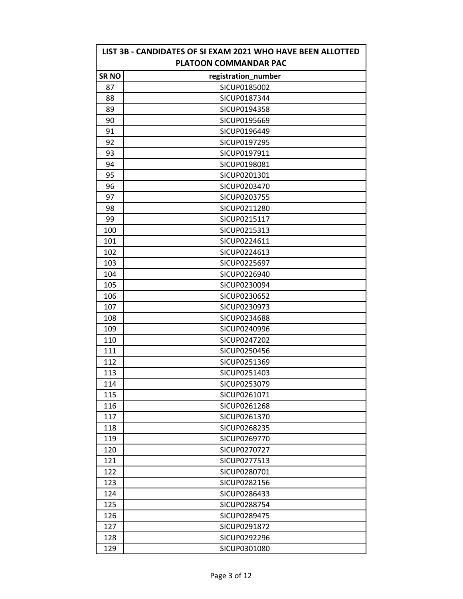|             | LIST 3B - CANDIDATES OF SI EXAM 2021 WHO HAVE BEEN ALLOTTED<br>PLATOON COMMANDAR PAC |
|-------------|--------------------------------------------------------------------------------------|
| <b>SRNO</b> | registration_number                                                                  |
| 87          | SICUP0185002                                                                         |
| 88          | SICUP0187344                                                                         |
| 89          | SICUP0194358                                                                         |
| 90          | SICUP0195669                                                                         |
| 91          | SICUP0196449                                                                         |
| 92          | SICUP0197295                                                                         |
| 93          | SICUP0197911                                                                         |
| 94          | SICUP0198081                                                                         |
| 95          | SICUP0201301                                                                         |
| 96          | SICUP0203470                                                                         |
| 97          | SICUP0203755                                                                         |
| 98          | SICUP0211280                                                                         |
| 99          | SICUP0215117                                                                         |
| 100         | SICUP0215313                                                                         |
| 101         | SICUP0224611                                                                         |
| 102         | SICUP0224613                                                                         |
| 103         | SICUP0225697                                                                         |
| 104         | SICUP0226940                                                                         |
| 105         | SICUP0230094                                                                         |
| 106         | SICUP0230652                                                                         |
| 107         | SICUP0230973                                                                         |
| 108         | SICUP0234688                                                                         |
| 109         | SICUP0240996                                                                         |
| 110         | SICUP0247202                                                                         |
| 111         | SICUP0250456                                                                         |
| 112         | SICUP0251369                                                                         |
| 113         | SICUP0251403                                                                         |
| 114         | SICUP0253079                                                                         |
| 115         | SICUP0261071                                                                         |
| 116         | SICUP0261268                                                                         |
| 117         | SICUP0261370                                                                         |
| 118         | SICUP0268235                                                                         |
| 119         | SICUP0269770                                                                         |
| 120         | SICUP0270727                                                                         |
| 121         | SICUP0277513                                                                         |
| 122         | SICUP0280701                                                                         |
| 123         | SICUP0282156                                                                         |
| 124         | SICUP0286433                                                                         |
| 125         | SICUP0288754                                                                         |
| 126         | SICUP0289475                                                                         |
| 127         | SICUP0291872                                                                         |
| 128         | SICUP0292296                                                                         |
| 129         | SICUP0301080                                                                         |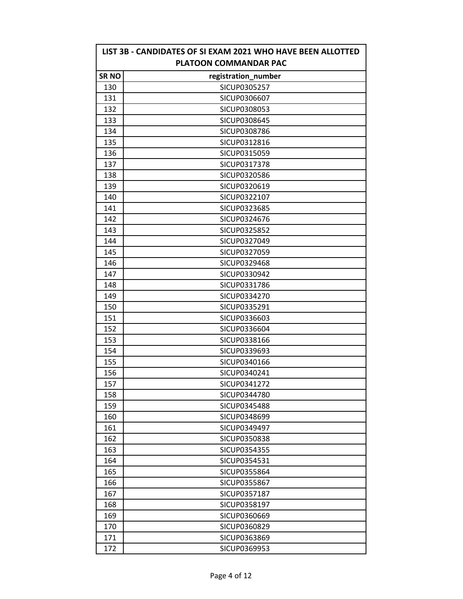| LIST 3B - CANDIDATES OF SI EXAM 2021 WHO HAVE BEEN ALLOTTED<br>PLATOON COMMANDAR PAC |                     |  |
|--------------------------------------------------------------------------------------|---------------------|--|
| <b>SRNO</b>                                                                          | registration_number |  |
| 130                                                                                  | <b>SICUP0305257</b> |  |
| 131                                                                                  | SICUP0306607        |  |
| 132                                                                                  | SICUP0308053        |  |
| 133                                                                                  | SICUP0308645        |  |
| 134                                                                                  | SICUP0308786        |  |
| 135                                                                                  | SICUP0312816        |  |
| 136                                                                                  | SICUP0315059        |  |
| 137                                                                                  | SICUP0317378        |  |
| 138                                                                                  | SICUP0320586        |  |
| 139                                                                                  | SICUP0320619        |  |
| 140                                                                                  | SICUP0322107        |  |
| 141                                                                                  | SICUP0323685        |  |
| 142                                                                                  | SICUP0324676        |  |
| 143                                                                                  | SICUP0325852        |  |
| 144                                                                                  | SICUP0327049        |  |
| 145                                                                                  | SICUP0327059        |  |
| 146                                                                                  | SICUP0329468        |  |
| 147                                                                                  | SICUP0330942        |  |
| 148                                                                                  | SICUP0331786        |  |
| 149                                                                                  | SICUP0334270        |  |
| 150                                                                                  | SICUP0335291        |  |
| 151                                                                                  | SICUP0336603        |  |
| 152                                                                                  | SICUP0336604        |  |
| 153                                                                                  | SICUP0338166        |  |
| 154                                                                                  | SICUP0339693        |  |
| 155                                                                                  | SICUP0340166        |  |
| 156                                                                                  | SICUP0340241        |  |
| 157                                                                                  | SICUP0341272        |  |
| 158                                                                                  | SICUP0344780        |  |
| 159                                                                                  | SICUP0345488        |  |
| 160                                                                                  | SICUP0348699        |  |
| 161                                                                                  | SICUP0349497        |  |
| 162                                                                                  | SICUP0350838        |  |
| 163                                                                                  | SICUP0354355        |  |
| 164                                                                                  | SICUP0354531        |  |
| 165                                                                                  | SICUP0355864        |  |
| 166                                                                                  | SICUP0355867        |  |
| 167                                                                                  | SICUP0357187        |  |
| 168                                                                                  | SICUP0358197        |  |
| 169                                                                                  | SICUP0360669        |  |
| 170                                                                                  | SICUP0360829        |  |
| 171                                                                                  | SICUP0363869        |  |
| 172                                                                                  | SICUP0369953        |  |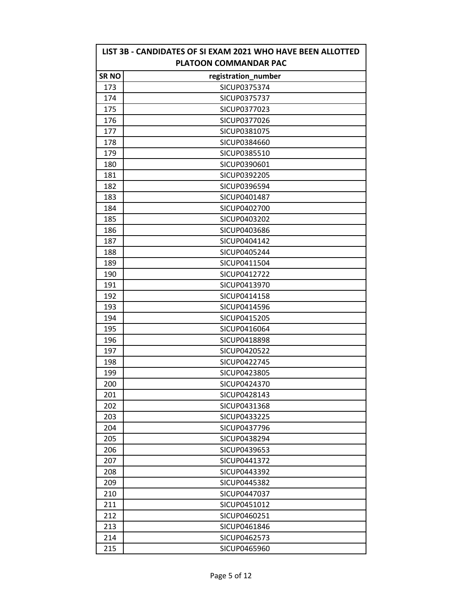| LIST 3B - CANDIDATES OF SI EXAM 2021 WHO HAVE BEEN ALLOTTED<br><b>PLATOON COMMANDAR PAC</b> |                     |  |
|---------------------------------------------------------------------------------------------|---------------------|--|
| <b>SRNO</b>                                                                                 | registration_number |  |
| 173                                                                                         | SICUP0375374        |  |
| 174                                                                                         | SICUP0375737        |  |
| 175                                                                                         | SICUP0377023        |  |
| 176                                                                                         | SICUP0377026        |  |
| 177                                                                                         | SICUP0381075        |  |
| 178                                                                                         | SICUP0384660        |  |
| 179                                                                                         | SICUP0385510        |  |
| 180                                                                                         | SICUP0390601        |  |
| 181                                                                                         | SICUP0392205        |  |
| 182                                                                                         | SICUP0396594        |  |
| 183                                                                                         | SICUP0401487        |  |
| 184                                                                                         | SICUP0402700        |  |
| 185                                                                                         | SICUP0403202        |  |
| 186                                                                                         | SICUP0403686        |  |
| 187                                                                                         | SICUP0404142        |  |
| 188                                                                                         | SICUP0405244        |  |
| 189                                                                                         | SICUP0411504        |  |
| 190                                                                                         | SICUP0412722        |  |
| 191                                                                                         | SICUP0413970        |  |
| 192                                                                                         | SICUP0414158        |  |
| 193                                                                                         | SICUP0414596        |  |
| 194                                                                                         | SICUP0415205        |  |
| 195                                                                                         | SICUP0416064        |  |
| 196                                                                                         | SICUP0418898        |  |
| 197                                                                                         | SICUP0420522        |  |
| 198                                                                                         | SICUP0422745        |  |
| 199                                                                                         | SICUP0423805        |  |
| 200                                                                                         | SICUP0424370        |  |
| 201                                                                                         | SICUP0428143        |  |
| 202                                                                                         | SICUP0431368        |  |
| 203                                                                                         | SICUP0433225        |  |
| 204                                                                                         | SICUP0437796        |  |
| 205                                                                                         | SICUP0438294        |  |
| 206                                                                                         | SICUP0439653        |  |
| 207                                                                                         | SICUP0441372        |  |
| 208                                                                                         | SICUP0443392        |  |
| 209                                                                                         | SICUP0445382        |  |
| 210                                                                                         | SICUP0447037        |  |
| 211                                                                                         | SICUP0451012        |  |
| 212                                                                                         | SICUP0460251        |  |
| 213                                                                                         | SICUP0461846        |  |
| 214                                                                                         | SICUP0462573        |  |
| 215                                                                                         | SICUP0465960        |  |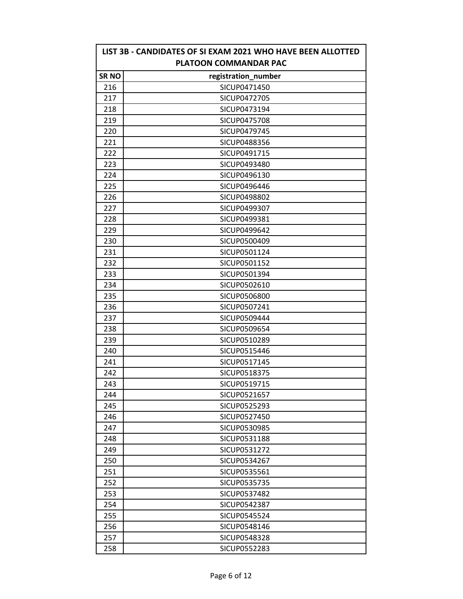| LIST 3B - CANDIDATES OF SI EXAM 2021 WHO HAVE BEEN ALLOTTED<br><b>PLATOON COMMANDAR PAC</b> |                     |  |
|---------------------------------------------------------------------------------------------|---------------------|--|
| <b>SRNO</b>                                                                                 | registration_number |  |
| 216                                                                                         | SICUP0471450        |  |
| 217                                                                                         | SICUP0472705        |  |
| 218                                                                                         | SICUP0473194        |  |
| 219                                                                                         | SICUP0475708        |  |
| 220                                                                                         | <b>SICUP0479745</b> |  |
| 221                                                                                         | SICUP0488356        |  |
| 222                                                                                         | SICUP0491715        |  |
| 223                                                                                         | SICUP0493480        |  |
| 224                                                                                         | SICUP0496130        |  |
| 225                                                                                         | SICUP0496446        |  |
| 226                                                                                         | SICUP0498802        |  |
| 227                                                                                         | SICUP0499307        |  |
| 228                                                                                         | SICUP0499381        |  |
| 229                                                                                         | SICUP0499642        |  |
| 230                                                                                         | SICUP0500409        |  |
| 231                                                                                         | SICUP0501124        |  |
| 232                                                                                         | SICUP0501152        |  |
| 233                                                                                         | SICUP0501394        |  |
| 234                                                                                         | SICUP0502610        |  |
| 235                                                                                         | <b>SICUP0506800</b> |  |
| 236                                                                                         | SICUP0507241        |  |
| 237                                                                                         | SICUP0509444        |  |
| 238                                                                                         | SICUP0509654        |  |
| 239                                                                                         | SICUP0510289        |  |
| 240                                                                                         | SICUP0515446        |  |
| 241                                                                                         | SICUP0517145        |  |
| 242                                                                                         | SICUP0518375        |  |
| 243                                                                                         | SICUP0519715        |  |
| 244                                                                                         | SICUP0521657        |  |
| 245                                                                                         | SICUP0525293        |  |
| 246                                                                                         | SICUP0527450        |  |
| 247                                                                                         | SICUP0530985        |  |
| 248                                                                                         | SICUP0531188        |  |
| 249                                                                                         | SICUP0531272        |  |
| 250                                                                                         | SICUP0534267        |  |
| 251                                                                                         | SICUP0535561        |  |
| 252                                                                                         | SICUP0535735        |  |
| 253                                                                                         | SICUP0537482        |  |
| 254                                                                                         | SICUP0542387        |  |
| 255                                                                                         | SICUP0545524        |  |
| 256                                                                                         | SICUP0548146        |  |
| 257                                                                                         | SICUP0548328        |  |
| 258                                                                                         | SICUP0552283        |  |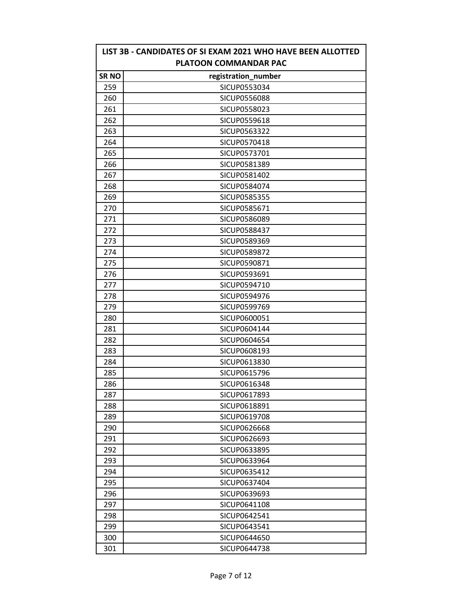| LIST 3B - CANDIDATES OF SI EXAM 2021 WHO HAVE BEEN ALLOTTED<br><b>PLATOON COMMANDAR PAC</b> |                     |  |
|---------------------------------------------------------------------------------------------|---------------------|--|
| <b>SRNO</b>                                                                                 | registration_number |  |
| 259                                                                                         | SICUP0553034        |  |
| 260                                                                                         | SICUP0556088        |  |
| 261                                                                                         | SICUP0558023        |  |
| 262                                                                                         | SICUP0559618        |  |
| 263                                                                                         | SICUP0563322        |  |
| 264                                                                                         | SICUP0570418        |  |
| 265                                                                                         | SICUP0573701        |  |
| 266                                                                                         | SICUP0581389        |  |
| 267                                                                                         | SICUP0581402        |  |
| 268                                                                                         | SICUP0584074        |  |
| 269                                                                                         | SICUP0585355        |  |
| 270                                                                                         | SICUP0585671        |  |
| 271                                                                                         | SICUP0586089        |  |
| 272                                                                                         | SICUP0588437        |  |
| 273                                                                                         | SICUP0589369        |  |
| 274                                                                                         | SICUP0589872        |  |
| 275                                                                                         | SICUP0590871        |  |
| 276                                                                                         | SICUP0593691        |  |
| 277                                                                                         | SICUP0594710        |  |
| 278                                                                                         | SICUP0594976        |  |
| 279                                                                                         | SICUP0599769        |  |
| 280                                                                                         | SICUP0600051        |  |
| 281                                                                                         | SICUP0604144        |  |
| 282                                                                                         | SICUP0604654        |  |
| 283                                                                                         | SICUP0608193        |  |
| 284                                                                                         | SICUP0613830        |  |
| 285                                                                                         | SICUP0615796        |  |
| 286                                                                                         | SICUP0616348        |  |
| 287                                                                                         | SICUP0617893        |  |
| 288                                                                                         | SICUP0618891        |  |
| 289                                                                                         | SICUP0619708        |  |
| 290                                                                                         | SICUP0626668        |  |
| 291                                                                                         | SICUP0626693        |  |
| 292                                                                                         | SICUP0633895        |  |
| 293                                                                                         | SICUP0633964        |  |
| 294                                                                                         | SICUP0635412        |  |
| 295                                                                                         | SICUP0637404        |  |
| 296                                                                                         | SICUP0639693        |  |
| 297                                                                                         | SICUP0641108        |  |
| 298                                                                                         | SICUP0642541        |  |
| 299                                                                                         | SICUP0643541        |  |
| 300                                                                                         | SICUP0644650        |  |
| 301                                                                                         | SICUP0644738        |  |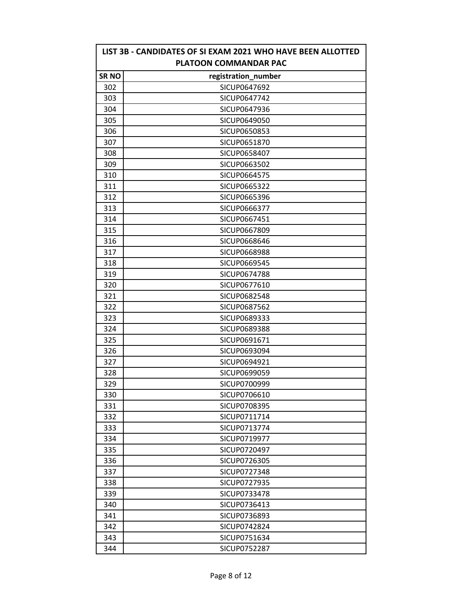| LIST 3B - CANDIDATES OF SI EXAM 2021 WHO HAVE BEEN ALLOTTED<br><b>PLATOON COMMANDAR PAC</b> |                     |  |
|---------------------------------------------------------------------------------------------|---------------------|--|
| <b>SRNO</b>                                                                                 | registration_number |  |
| 302                                                                                         | SICUP0647692        |  |
| 303                                                                                         | SICUP0647742        |  |
| 304                                                                                         | SICUP0647936        |  |
| 305                                                                                         | SICUP0649050        |  |
| 306                                                                                         | SICUP0650853        |  |
| 307                                                                                         | SICUP0651870        |  |
| 308                                                                                         | SICUP0658407        |  |
| 309                                                                                         | SICUP0663502        |  |
| 310                                                                                         | SICUP0664575        |  |
| 311                                                                                         | SICUP0665322        |  |
| 312                                                                                         | SICUP0665396        |  |
| 313                                                                                         | SICUP0666377        |  |
| 314                                                                                         | SICUP0667451        |  |
| 315                                                                                         | SICUP0667809        |  |
| 316                                                                                         | SICUP0668646        |  |
| 317                                                                                         | SICUP0668988        |  |
| 318                                                                                         | SICUP0669545        |  |
| 319                                                                                         | SICUP0674788        |  |
| 320                                                                                         | SICUP0677610        |  |
| 321                                                                                         | SICUP0682548        |  |
| 322                                                                                         | SICUP0687562        |  |
| 323                                                                                         | SICUP0689333        |  |
| 324                                                                                         | SICUP0689388        |  |
| 325                                                                                         | SICUP0691671        |  |
| 326                                                                                         | SICUP0693094        |  |
| 327                                                                                         | SICUP0694921        |  |
| 328                                                                                         | SICUP0699059        |  |
| 329                                                                                         | SICUP0700999        |  |
| 330                                                                                         | SICUP0706610        |  |
| 331                                                                                         | SICUP0708395        |  |
| 332                                                                                         | SICUP0711714        |  |
| 333                                                                                         | SICUP0713774        |  |
| 334                                                                                         | SICUP0719977        |  |
| 335                                                                                         | SICUP0720497        |  |
| 336                                                                                         | SICUP0726305        |  |
| 337                                                                                         | SICUP0727348        |  |
| 338                                                                                         | SICUP0727935        |  |
| 339                                                                                         | SICUP0733478        |  |
| 340                                                                                         | SICUP0736413        |  |
| 341                                                                                         | SICUP0736893        |  |
| 342                                                                                         | SICUP0742824        |  |
| 343                                                                                         | SICUP0751634        |  |
| 344                                                                                         | SICUP0752287        |  |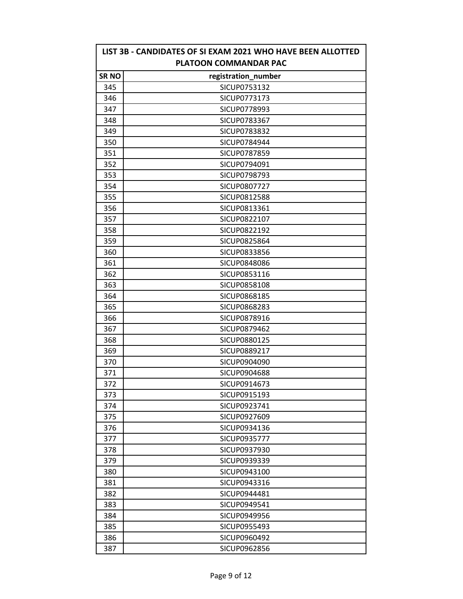| LIST 3B - CANDIDATES OF SI EXAM 2021 WHO HAVE BEEN ALLOTTED<br><b>PLATOON COMMANDAR PAC</b> |                     |  |
|---------------------------------------------------------------------------------------------|---------------------|--|
| SR NO                                                                                       | registration_number |  |
| 345                                                                                         | SICUP0753132        |  |
| 346                                                                                         | SICUP0773173        |  |
| 347                                                                                         | SICUP0778993        |  |
| 348                                                                                         | SICUP0783367        |  |
| 349                                                                                         | SICUP0783832        |  |
| 350                                                                                         | SICUP0784944        |  |
| 351                                                                                         | SICUP0787859        |  |
| 352                                                                                         | SICUP0794091        |  |
| 353                                                                                         | SICUP0798793        |  |
| 354                                                                                         | SICUP0807727        |  |
| 355                                                                                         | SICUP0812588        |  |
| 356                                                                                         | SICUP0813361        |  |
| 357                                                                                         | SICUP0822107        |  |
| 358                                                                                         | SICUP0822192        |  |
| 359                                                                                         | SICUP0825864        |  |
| 360                                                                                         | SICUP0833856        |  |
| 361                                                                                         | SICUP0848086        |  |
| 362                                                                                         | SICUP0853116        |  |
| 363                                                                                         | SICUP0858108        |  |
| 364                                                                                         | SICUP0868185        |  |
| 365                                                                                         | SICUP0868283        |  |
| 366                                                                                         | SICUP0878916        |  |
| 367                                                                                         | SICUP0879462        |  |
| 368                                                                                         | SICUP0880125        |  |
| 369                                                                                         | SICUP0889217        |  |
| 370                                                                                         | SICUP0904090        |  |
| 371                                                                                         | SICUP0904688        |  |
| 372                                                                                         | SICUP0914673        |  |
| 373                                                                                         | SICUP0915193        |  |
| 374                                                                                         | SICUP0923741        |  |
| 375                                                                                         | SICUP0927609        |  |
| 376                                                                                         | SICUP0934136        |  |
| 377                                                                                         | SICUP0935777        |  |
| 378                                                                                         | SICUP0937930        |  |
| 379                                                                                         | SICUP0939339        |  |
| 380                                                                                         | SICUP0943100        |  |
| 381                                                                                         | SICUP0943316        |  |
| 382                                                                                         | SICUP0944481        |  |
| 383                                                                                         | SICUP0949541        |  |
| 384                                                                                         | SICUP0949956        |  |
| 385                                                                                         | SICUP0955493        |  |
| 386                                                                                         | SICUP0960492        |  |
| 387                                                                                         | SICUP0962856        |  |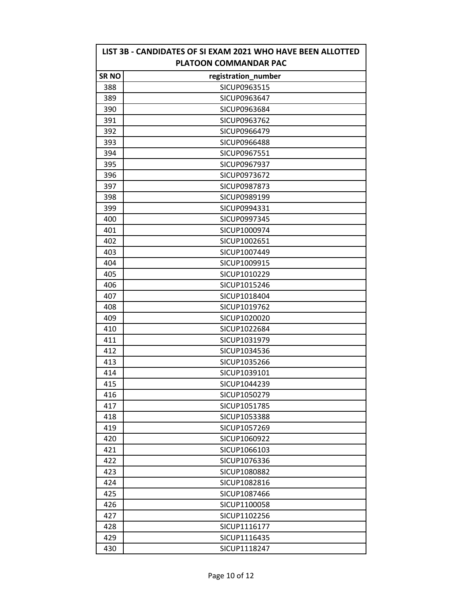| LIST 3B - CANDIDATES OF SI EXAM 2021 WHO HAVE BEEN ALLOTTED<br><b>PLATOON COMMANDAR PAC</b> |                     |  |
|---------------------------------------------------------------------------------------------|---------------------|--|
| <b>SR NO</b>                                                                                | registration_number |  |
| 388                                                                                         | SICUP0963515        |  |
| 389                                                                                         | SICUP0963647        |  |
| 390                                                                                         | SICUP0963684        |  |
| 391                                                                                         | SICUP0963762        |  |
| 392                                                                                         | SICUP0966479        |  |
| 393                                                                                         | <b>SICUP0966488</b> |  |
| 394                                                                                         | SICUP0967551        |  |
| 395                                                                                         | SICUP0967937        |  |
| 396                                                                                         | SICUP0973672        |  |
| 397                                                                                         | SICUP0987873        |  |
| 398                                                                                         | SICUP0989199        |  |
| 399                                                                                         | SICUP0994331        |  |
| 400                                                                                         | SICUP0997345        |  |
| 401                                                                                         | SICUP1000974        |  |
| 402                                                                                         | SICUP1002651        |  |
| 403                                                                                         | SICUP1007449        |  |
| 404                                                                                         | SICUP1009915        |  |
| 405                                                                                         | SICUP1010229        |  |
| 406                                                                                         | SICUP1015246        |  |
| 407                                                                                         | SICUP1018404        |  |
| 408                                                                                         | SICUP1019762        |  |
| 409                                                                                         | SICUP1020020        |  |
| 410                                                                                         | SICUP1022684        |  |
| 411                                                                                         | SICUP1031979        |  |
| 412                                                                                         | SICUP1034536        |  |
| 413                                                                                         | SICUP1035266        |  |
| 414                                                                                         | SICUP1039101        |  |
| 415                                                                                         | SICUP1044239        |  |
| 416                                                                                         | SICUP1050279        |  |
| 417                                                                                         | SICUP1051785        |  |
| 418                                                                                         | SICUP1053388        |  |
| 419                                                                                         | SICUP1057269        |  |
| 420                                                                                         | SICUP1060922        |  |
| 421                                                                                         | SICUP1066103        |  |
| 422                                                                                         | SICUP1076336        |  |
| 423                                                                                         | SICUP1080882        |  |
| 424                                                                                         | SICUP1082816        |  |
| 425                                                                                         | SICUP1087466        |  |
| 426                                                                                         | SICUP1100058        |  |
| 427                                                                                         | SICUP1102256        |  |
| 428                                                                                         | SICUP1116177        |  |
| 429                                                                                         | SICUP1116435        |  |
| 430                                                                                         | SICUP1118247        |  |

r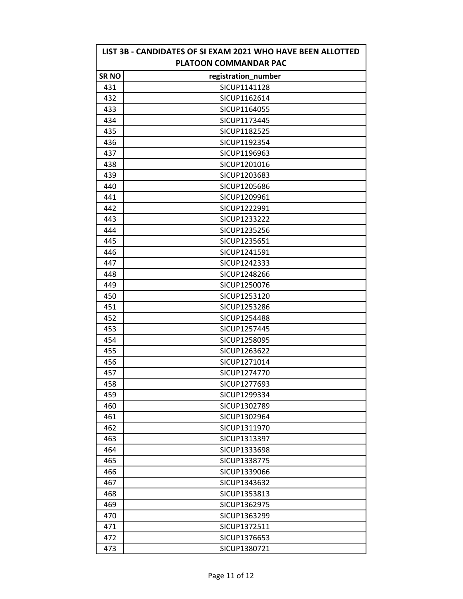| LIST 3B - CANDIDATES OF SI EXAM 2021 WHO HAVE BEEN ALLOTTED<br><b>PLATOON COMMANDAR PAC</b> |                     |  |
|---------------------------------------------------------------------------------------------|---------------------|--|
| <b>SR NO</b>                                                                                | registration_number |  |
| 431                                                                                         | SICUP1141128        |  |
| 432                                                                                         | SICUP1162614        |  |
| 433                                                                                         | SICUP1164055        |  |
| 434                                                                                         | SICUP1173445        |  |
| 435                                                                                         | SICUP1182525        |  |
| 436                                                                                         | SICUP1192354        |  |
| 437                                                                                         | SICUP1196963        |  |
| 438                                                                                         | SICUP1201016        |  |
| 439                                                                                         | SICUP1203683        |  |
| 440                                                                                         | SICUP1205686        |  |
| 441                                                                                         | SICUP1209961        |  |
| 442                                                                                         | SICUP1222991        |  |
| 443                                                                                         | SICUP1233222        |  |
| 444                                                                                         | SICUP1235256        |  |
| 445                                                                                         | SICUP1235651        |  |
| 446                                                                                         | SICUP1241591        |  |
| 447                                                                                         | SICUP1242333        |  |
| 448                                                                                         | SICUP1248266        |  |
| 449                                                                                         | SICUP1250076        |  |
| 450                                                                                         | SICUP1253120        |  |
| 451                                                                                         | SICUP1253286        |  |
| 452                                                                                         | SICUP1254488        |  |
| 453                                                                                         | SICUP1257445        |  |
| 454                                                                                         | SICUP1258095        |  |
| 455                                                                                         | SICUP1263622        |  |
| 456                                                                                         | SICUP1271014        |  |
| 457                                                                                         | SICUP1274770        |  |
| 458                                                                                         | SICUP1277693        |  |
| 459                                                                                         | SICUP1299334        |  |
| 460                                                                                         | SICUP1302789        |  |
| 461                                                                                         | SICUP1302964        |  |
| 462                                                                                         | SICUP1311970        |  |
| 463                                                                                         | SICUP1313397        |  |
| 464                                                                                         | SICUP1333698        |  |
| 465                                                                                         | SICUP1338775        |  |
| 466                                                                                         | SICUP1339066        |  |
| 467                                                                                         | SICUP1343632        |  |
| 468                                                                                         | SICUP1353813        |  |
| 469                                                                                         | SICUP1362975        |  |
| 470                                                                                         | SICUP1363299        |  |
| 471                                                                                         | SICUP1372511        |  |
| 472                                                                                         | SICUP1376653        |  |
| 473                                                                                         | SICUP1380721        |  |

r